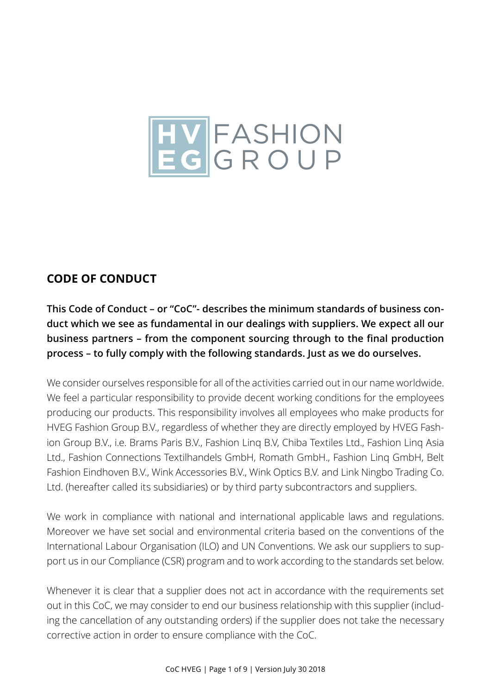

# **CODE OF CONDUCT**

This Code of Conduct – or "CoC"- describes the minimum standards of business conin our dealings with suppli **duct which we see as fundamental in our dealings with suppliers. We expect all our business partners – from the component sourcing through to the final production process – to fully comply with the following standards. Just as we do ourselves.**

Ltd., Fashion Connections Textilhandels GmbH, Romath GmbH., Fashion Linq GmbH, Belt<br>Fashion Findhoven B.V. Wink Accessories B.V. Wink Optics B.V. and Link Ningbo Trading Co. The B.V., With Optics B.V. and<br>Or by third party subcontracte We consider ourselves responsible for all of the activities carried out in our name worldwide. We feel a particular responsibility to provide decent working conditions for the employees producing our products. This responsibility involves all employees who make products for HVEG Fashion Group B.V., regardless of whether they are directly employed by HVEG Fashion Group B.V., i.e. Brams Paris B.V., Fashion Linq B.V, Chiba Textiles Ltd., Fashion Linq Asia Fashion Eindhoven B.V., Wink Accessories B.V., Wink Optics B.V. and Link Ningbo Trading Co. Ltd. (hereafter called its subsidiaries) or by third party subcontractors and suppliers.

We work in compliance with national and international applicable laws and regulations. Moreover we have set social and environmental criteria based on the conventions of the International Labour Organisation (ILO) and UN Conventions. We ask our suppliers to support us in our Compliance (CSR) program and to work according to the standards set below.

Whenever it is clear that a supplier does not act in accordance with the requirements set out in this CoC, we may consider to end our business relationship with this supplier (including the cancellation of any outstanding orders) if the supplier does not take the necessary corrective action in order to ensure compliance with the CoC.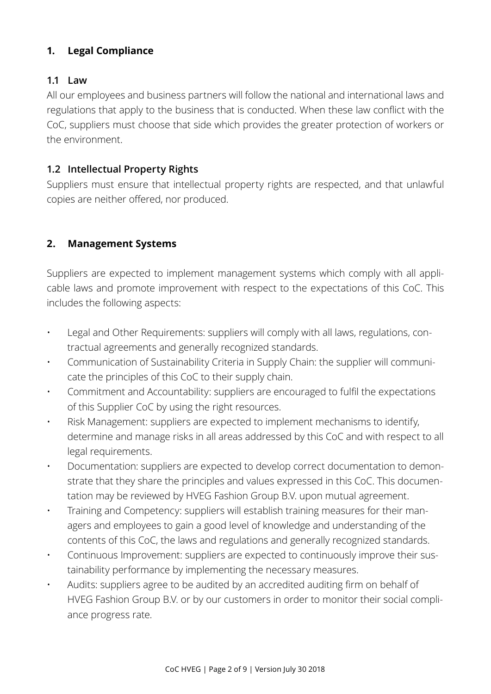### **1. Legal Compliance**

#### **1.1 Law**

All our employees and business partners will follow the national and international laws and regulations that apply to the business that is conducted. When these law conflict with the CoC, suppliers must choose that side which provides the greater protection of workers or the environment.

#### **1.2 Intellectual Property Rights**

Suppliers must ensure that intellectual property rights are respected, and that unlawful copies are neither offered, nor produced.

#### **2. Management Systems**

Suppliers are expected to implement management systems which comply with all applicable laws and promote improvement with respect to the expectations of this CoC. This includes the following aspects:

- Legal and Other Requirements: suppliers will comply with all laws, regulations, contractual agreements and generally recognized standards.
- Communication of Sustainability Criteria in Supply Chain: the supplier will communicate the principles of this CoC to their supply chain.
- Commitment and Accountability: suppliers are encouraged to fulfil the expectations of this Supplier CoC by using the right resources.
- Risk Management: suppliers are expected to implement mechanisms to identify, determine and manage risks in all areas addressed by this CoC and with respect to all legal requirements.
- Documentation: suppliers are expected to develop correct documentation to demonstrate that they share the principles and values expressed in this CoC. This documentation may be reviewed by HVEG Fashion Group B.V. upon mutual agreement.
- Training and Competency: suppliers will establish training measures for their managers and employees to gain a good level of knowledge and understanding of the contents of this CoC, the laws and regulations and generally recognized standards.
- Continuous Improvement: suppliers are expected to continuously improve their sustainability performance by implementing the necessary measures.
- Audits: suppliers agree to be audited by an accredited auditing firm on behalf of HVEG Fashion Group B.V. or by our customers in order to monitor their social compliance progress rate.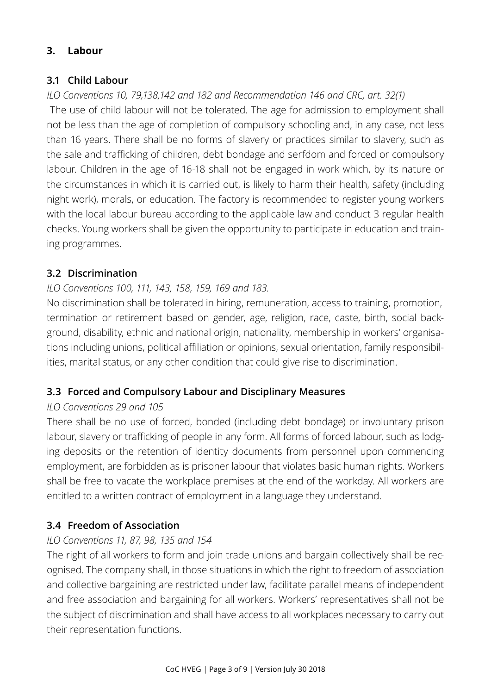### **3. Labour**

### **3.1 Child Labour**

# *ILO Conventions 10, 79,138,142 and 182 and Recommendation 146 and CRC, art. 32(1)*

The use of child labour will not be tolerated. The age for admission to employment shall not be less than the age of completion of compulsory schooling and, in any case, not less than 16 years. There shall be no forms of slavery or practices similar to slavery, such as the sale and trafficking of children, debt bondage and serfdom and forced or compulsory labour. Children in the age of 16-18 shall not be engaged in work which, by its nature or the circumstances in which it is carried out, is likely to harm their health, safety (including night work), morals, or education. The factory is recommended to register young workers with the local labour bureau according to the applicable law and conduct 3 regular health checks. Young workers shall be given the opportunity to participate in education and training programmes.

### **3.2 Discrimination**

### *ILO Conventions 100, 111, 143, 158, 159, 169 and 183.*

No discrimination shall be tolerated in hiring, remuneration, access to training, promotion, termination or retirement based on gender, age, religion, race, caste, birth, social background, disability, ethnic and national origin, nationality, membership in workers' organisations including unions, political affiliation or opinions, sexual orientation, family responsibilities, marital status, or any other condition that could give rise to discrimination.

# **3.3 Forced and Compulsory Labour and Disciplinary Measures**

#### *ILO Conventions 29 and 105*

There shall be no use of forced, bonded (including debt bondage) or involuntary prison labour, slavery or trafficking of people in any form. All forms of forced labour, such as lodging deposits or the retention of identity documents from personnel upon commencing employment, are forbidden as is prisoner labour that violates basic human rights. Workers shall be free to vacate the workplace premises at the end of the workday. All workers are entitled to a written contract of employment in a language they understand.

# **3.4 Freedom of Association**

#### *ILO Conventions 11, 87, 98, 135 and 154*

The right of all workers to form and join trade unions and bargain collectively shall be recognised. The company shall, in those situations in which the right to freedom of association and collective bargaining are restricted under law, facilitate parallel means of independent and free association and bargaining for all workers. Workers' representatives shall not be the subject of discrimination and shall have access to all workplaces necessary to carry out their representation functions.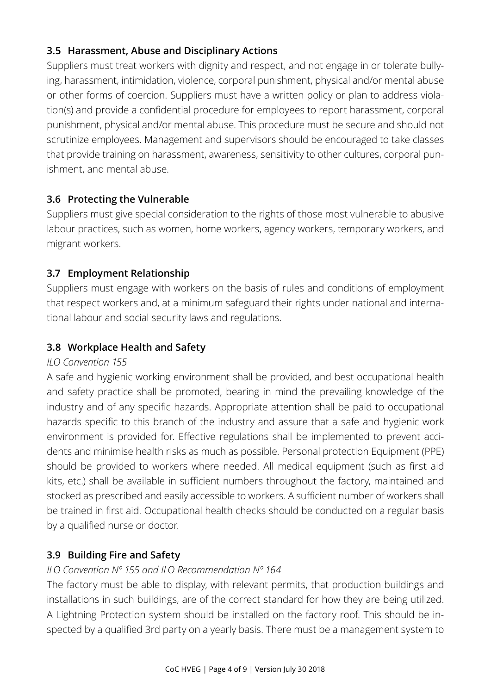# **3.5 Harassment, Abuse and Disciplinary Actions**

Suppliers must treat workers with dignity and respect, and not engage in or tolerate bullying, harassment, intimidation, violence, corporal punishment, physical and/or mental abuse or other forms of coercion. Suppliers must have a written policy or plan to address violation(s) and provide a confidential procedure for employees to report harassment, corporal punishment, physical and/or mental abuse. This procedure must be secure and should not scrutinize employees. Management and supervisors should be encouraged to take classes that provide training on harassment, awareness, sensitivity to other cultures, corporal punishment, and mental abuse.

# **3.6 Protecting the Vulnerable**

Suppliers must give special consideration to the rights of those most vulnerable to abusive labour practices, such as women, home workers, agency workers, temporary workers, and migrant workers.

### **3.7 Employment Relationship**

Suppliers must engage with workers on the basis of rules and conditions of employment that respect workers and, at a minimum safeguard their rights under national and international labour and social security laws and regulations.

### **3.8 Workplace Health and Safety**

#### *ILO Convention 155*

A safe and hygienic working environment shall be provided, and best occupational health and safety practice shall be promoted, bearing in mind the prevailing knowledge of the industry and of any specific hazards. Appropriate attention shall be paid to occupational hazards specific to this branch of the industry and assure that a safe and hygienic work environment is provided for. Effective regulations shall be implemented to prevent accidents and minimise health risks as much as possible. Personal protection Equipment (PPE) should be provided to workers where needed. All medical equipment (such as first aid kits, etc.) shall be available in sufficient numbers throughout the factory, maintained and stocked as prescribed and easily accessible to workers. A sufficient number of workers shall be trained in first aid. Occupational health checks should be conducted on a regular basis by a qualified nurse or doctor.

#### **3.9 Building Fire and Safety**

#### *ILO Convention Nº 155 and ILO Recommendation Nº 164*

The factory must be able to display, with relevant permits, that production buildings and installations in such buildings, are of the correct standard for how they are being utilized. A Lightning Protection system should be installed on the factory roof. This should be inspected by a qualified 3rd party on a yearly basis. There must be a management system to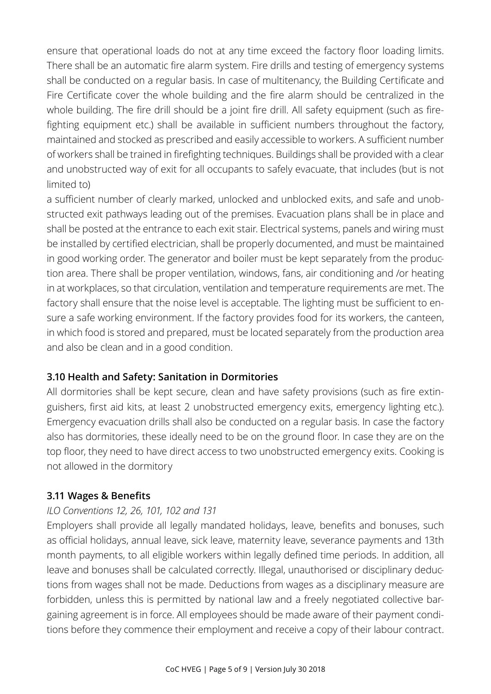ensure that operational loads do not at any time exceed the factory floor loading limits. There shall be an automatic fire alarm system. Fire drills and testing of emergency systems shall be conducted on a regular basis. In case of multitenancy, the Building Certificate and Fire Certificate cover the whole building and the fire alarm should be centralized in the whole building. The fire drill should be a joint fire drill. All safety equipment (such as firefighting equipment etc.) shall be available in sufficient numbers throughout the factory, maintained and stocked as prescribed and easily accessible to workers. A sufficient number of workers shall be trained in firefighting techniques. Buildings shall be provided with a clear and unobstructed way of exit for all occupants to safely evacuate, that includes (but is not limited to)

a sufficient number of clearly marked, unlocked and unblocked exits, and safe and unobstructed exit pathways leading out of the premises. Evacuation plans shall be in place and shall be posted at the entrance to each exit stair. Electrical systems, panels and wiring must be installed by certified electrician, shall be properly documented, and must be maintained in good working order. The generator and boiler must be kept separately from the production area. There shall be proper ventilation, windows, fans, air conditioning and /or heating in at workplaces, so that circulation, ventilation and temperature requirements are met. The factory shall ensure that the noise level is acceptable. The lighting must be sufficient to ensure a safe working environment. If the factory provides food for its workers, the canteen, in which food is stored and prepared, must be located separately from the production area and also be clean and in a good condition.

#### **3.10 Health and Safety: Sanitation in Dormitories**

All dormitories shall be kept secure, clean and have safety provisions (such as fire extinguishers, first aid kits, at least 2 unobstructed emergency exits, emergency lighting etc.). Emergency evacuation drills shall also be conducted on a regular basis. In case the factory also has dormitories, these ideally need to be on the ground floor. In case they are on the top floor, they need to have direct access to two unobstructed emergency exits. Cooking is not allowed in the dormitory

# **3.11 Wages & Benefits**

#### *ILO Conventions 12, 26, 101, 102 and 131*

Employers shall provide all legally mandated holidays, leave, benefits and bonuses, such as official holidays, annual leave, sick leave, maternity leave, severance payments and 13th month payments, to all eligible workers within legally defined time periods. In addition, all leave and bonuses shall be calculated correctly. Illegal, unauthorised or disciplinary deductions from wages shall not be made. Deductions from wages as a disciplinary measure are forbidden, unless this is permitted by national law and a freely negotiated collective bargaining agreement is in force. All employees should be made aware of their payment conditions before they commence their employment and receive a copy of their labour contract.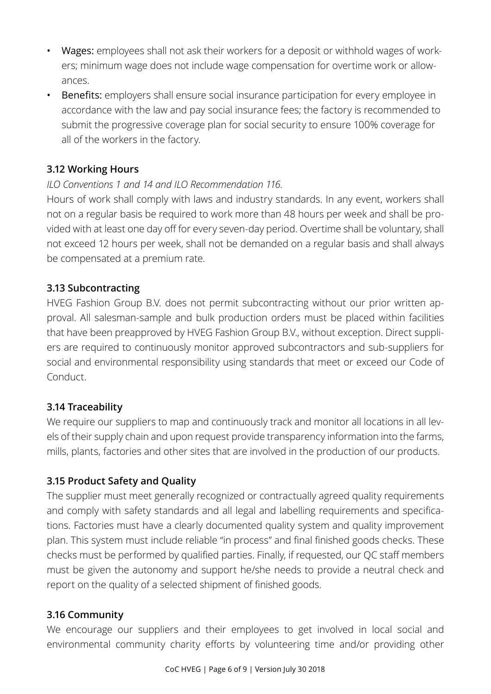- Wages: employees shall not ask their workers for a deposit or withhold wages of workers; minimum wage does not include wage compensation for overtime work or allowances.
- Benefits: employers shall ensure social insurance participation for every employee in accordance with the law and pay social insurance fees; the factory is recommended to submit the progressive coverage plan for social security to ensure 100% coverage for all of the workers in the factory.

### **3.12 Working Hours**

#### *ILO Conventions 1 and 14 and ILO Recommendation 116.*

Hours of work shall comply with laws and industry standards. In any event, workers shall not on a regular basis be required to work more than 48 hours per week and shall be provided with at least one day off for every seven-day period. Overtime shall be voluntary, shall not exceed 12 hours per week, shall not be demanded on a regular basis and shall always be compensated at a premium rate.

#### **3.13 Subcontracting**

HVEG Fashion Group B.V. does not permit subcontracting without our prior written approval. All salesman-sample and bulk production orders must be placed within facilities that have been preapproved by HVEG Fashion Group B.V., without exception. Direct suppliers are required to continuously monitor approved subcontractors and sub-suppliers for social and environmental responsibility using standards that meet or exceed our Code of Conduct.

#### **3.14 Traceability**

We require our suppliers to map and continuously track and monitor all locations in all levels of their supply chain and upon request provide transparency information into the farms, mills, plants, factories and other sites that are involved in the production of our products.

#### **3.15 Product Safety and Quality**

The supplier must meet generally recognized or contractually agreed quality requirements and comply with safety standards and all legal and labelling requirements and specifications. Factories must have a clearly documented quality system and quality improvement plan. This system must include reliable "in process" and final finished goods checks. These checks must be performed by qualified parties. Finally, if requested, our QC staff members must be given the autonomy and support he/she needs to provide a neutral check and report on the quality of a selected shipment of finished goods.

#### **3.16 Community**

We encourage our suppliers and their employees to get involved in local social and environmental community charity efforts by volunteering time and/or providing other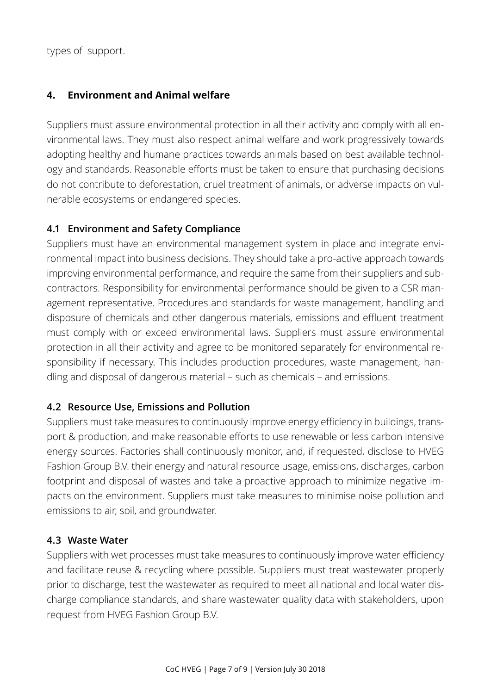types of support.

#### **4. Environment and Animal welfare**

Suppliers must assure environmental protection in all their activity and comply with all environmental laws. They must also respect animal welfare and work progressively towards adopting healthy and humane practices towards animals based on best available technology and standards. Reasonable efforts must be taken to ensure that purchasing decisions do not contribute to deforestation, cruel treatment of animals, or adverse impacts on vulnerable ecosystems or endangered species.

#### **4.1 Environment and Safety Compliance**

Suppliers must have an environmental management system in place and integrate environmental impact into business decisions. They should take a pro-active approach towards improving environmental performance, and require the same from their suppliers and subcontractors. Responsibility for environmental performance should be given to a CSR management representative. Procedures and standards for waste management, handling and disposure of chemicals and other dangerous materials, emissions and effluent treatment must comply with or exceed environmental laws. Suppliers must assure environmental protection in all their activity and agree to be monitored separately for environmental responsibility if necessary. This includes production procedures, waste management, handling and disposal of dangerous material – such as chemicals – and emissions.

#### **4.2 Resource Use, Emissions and Pollution**

Suppliers must take measures to continuously improve energy efficiency in buildings, transport & production, and make reasonable efforts to use renewable or less carbon intensive energy sources. Factories shall continuously monitor, and, if requested, disclose to HVEG Fashion Group B.V. their energy and natural resource usage, emissions, discharges, carbon footprint and disposal of wastes and take a proactive approach to minimize negative impacts on the environment. Suppliers must take measures to minimise noise pollution and emissions to air, soil, and groundwater.

#### **4.3 Waste Water**

Suppliers with wet processes must take measures to continuously improve water efficiency and facilitate reuse & recycling where possible. Suppliers must treat wastewater properly prior to discharge, test the wastewater as required to meet all national and local water discharge compliance standards, and share wastewater quality data with stakeholders, upon request from HVEG Fashion Group B.V.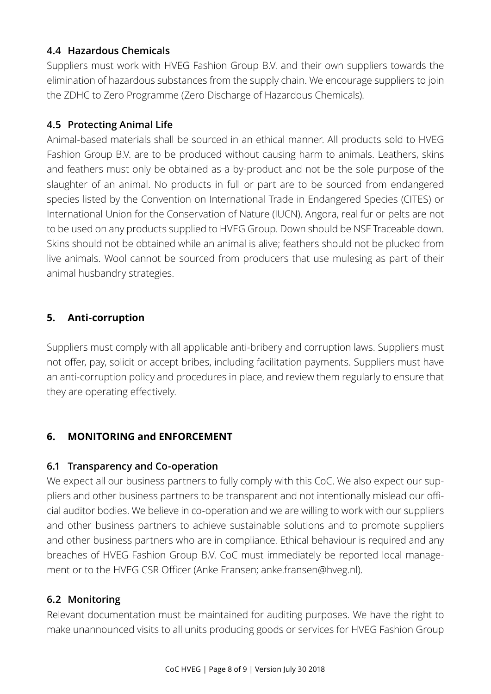### **4.4 Hazardous Chemicals**

Suppliers must work with HVEG Fashion Group B.V. and their own suppliers towards the elimination of hazardous substances from the supply chain. We encourage suppliers to join the ZDHC to Zero Programme (Zero Discharge of Hazardous Chemicals).

# **4.5 Protecting Animal Life**

Animal-based materials shall be sourced in an ethical manner. All products sold to HVEG Fashion Group B.V. are to be produced without causing harm to animals. Leathers, skins and feathers must only be obtained as a by-product and not be the sole purpose of the slaughter of an animal. No products in full or part are to be sourced from endangered species listed by the Convention on International Trade in Endangered Species (CITES) or International Union for the Conservation of Nature (IUCN). Angora, real fur or pelts are not to be used on any products supplied to HVEG Group. Down should be NSF Traceable down. Skins should not be obtained while an animal is alive; feathers should not be plucked from live animals. Wool cannot be sourced from producers that use mulesing as part of their animal husbandry strategies.

# **5. Anti-corruption**

Suppliers must comply with all applicable anti-bribery and corruption laws. Suppliers must not offer, pay, solicit or accept bribes, including facilitation payments. Suppliers must have an anti-corruption policy and procedures in place, and review them regularly to ensure that they are operating effectively.

# **6. MONITORING and ENFORCEMENT**

#### **6.1 Transparency and Co-operation**

We expect all our business partners to fully comply with this CoC. We also expect our suppliers and other business partners to be transparent and not intentionally mislead our official auditor bodies. We believe in co-operation and we are willing to work with our suppliers and other business partners to achieve sustainable solutions and to promote suppliers and other business partners who are in compliance. Ethical behaviour is required and any breaches of HVEG Fashion Group B.V. CoC must immediately be reported local management or to the HVEG CSR Officer (Anke Fransen; anke.fransen@hveg.nl).

# **6.2 Monitoring**

Relevant documentation must be maintained for auditing purposes. We have the right to make unannounced visits to all units producing goods or services for HVEG Fashion Group